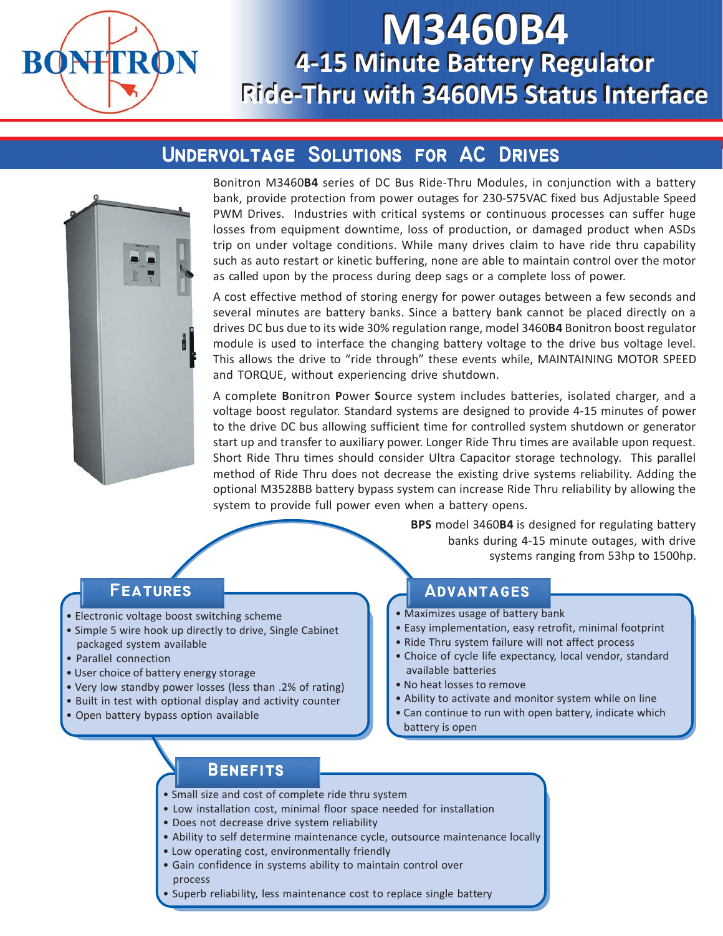

# **M3460B4 M3460B4 4-15 Minute Battery Regulator 4-15 Minute Battery Regulator Ride-Thru with 3460M5 Status Interface Ride-Thru with 3460M5 Status Interface**

## **UNDERVOLTAGE SOLUTIONS FOR AC DRIVES**



Bonitron M3460**B4** series of DC Bus Ride-Thru Modules, in conjunction with a battery bank, provide protection from power outages for 230-575VAC fixed bus Adjustable Speed PWM Drives. Industries with critical systems or continuous processes can suffer huge losses from equipment downtime, loss of production, or damaged product when ASDs trip on under voltage conditions. While many drives claim to have ride thru capability such as auto restart or kinetic buffering, none are able to maintain control over the motor as called upon by the process during deep sags or a complete loss of power.

A cost effective method of storing energy for power outages between a few seconds and several minutes are battery banks. Since a battery bank cannot be placed directly on a drives DC bus due to its wide 30% regulation range, model 3460**B4** Bonitron boost regulator module is used to interface the changing battery voltage to the drive bus voltage level. This allows the drive to "ride through" these events while, MAINTAINING MOTOR SPEED and TORQUE, without experiencing drive shutdown.

A complete **B**onitron **P**ower **S**ource system includes batteries, isolated charger, and a voltage boost regulator. Standard systems are designed to provide 4-15 minutes of power to the drive DC bus allowing sufficient time for controlled system shutdown or generator start up and transfer to auxiliary power. Longer Ride Thru times are available upon request. Short Ride Thru times should consider Ultra Capacitor storage technology. This parallel method of Ride Thru does not decrease the existing drive systems reliability. Adding the optional M3528BB battery bypass system can increase Ride Thru reliability by allowing the system to provide full power even when a battery opens.

> **BPS** model 3460**B4** is designed for regulating battery banks during 4-15 minute outages, with drive systems ranging from 53hp to 1500hp.

### **Features Features**

- Electronic voltage boost switching scheme
- Simple 5 wire hook up directly to drive, Single Cabinet packaged system available
- Parallel connection
- User choice of battery energy storage
- Very low standby power losses (less than .2% of rating)
- Built in test with optional display and activity counter
- Open battery bypass option available

#### **Advantages Advantages**

- Maximizes usage of battery bank
- Easy implementation, easy retrofit, minimal footprint
- Ride Thru system failure will not affect process
- Choice of cycle life expectancy, local vendor, standard available batteries
- No heat losses to remove
- Ability to activate and monitor system while on line
- Can continue to run with open battery, indicate which
- battery is open

### **Benefits Benefits**

- Small size and cost of complete ride thru system
- Low installation cost, minimal floor space needed for installation
- Does not decrease drive system reliability
- Ability to self determine maintenance cycle, outsource maintenance locally
- Low operating cost, environmentally friendly
- Gain confidence in systems ability to maintain control over process
- Superb reliability, less maintenance cost to replace single battery